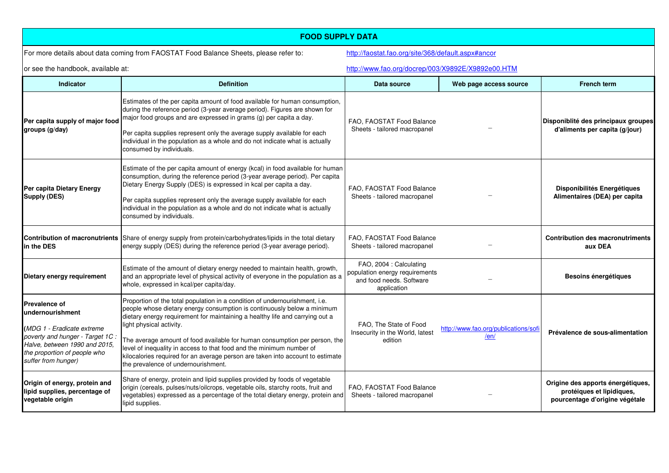| <b>FOOD SUPPLY DATA</b>                                                                                                                                                                           |                                                                                                                                                                                                                                                                                                                                                                                                                                                                                                                                                   |                                                                                                      |                                              |                                                                                                  |  |  |
|---------------------------------------------------------------------------------------------------------------------------------------------------------------------------------------------------|---------------------------------------------------------------------------------------------------------------------------------------------------------------------------------------------------------------------------------------------------------------------------------------------------------------------------------------------------------------------------------------------------------------------------------------------------------------------------------------------------------------------------------------------------|------------------------------------------------------------------------------------------------------|----------------------------------------------|--------------------------------------------------------------------------------------------------|--|--|
| For more details about data coming from FAOSTAT Food Balance Sheets, please refer to:                                                                                                             |                                                                                                                                                                                                                                                                                                                                                                                                                                                                                                                                                   | http://faostat.fao.org/site/368/default.aspx#ancor                                                   |                                              |                                                                                                  |  |  |
| or see the handbook, available at:                                                                                                                                                                |                                                                                                                                                                                                                                                                                                                                                                                                                                                                                                                                                   | http://www.fao.org/docrep/003/X9892E/X9892e00.HTM                                                    |                                              |                                                                                                  |  |  |
| <b>Indicator</b>                                                                                                                                                                                  | <b>Definition</b>                                                                                                                                                                                                                                                                                                                                                                                                                                                                                                                                 | Data source                                                                                          | Web page access source                       | <b>French term</b>                                                                               |  |  |
| Per capita supply of major food<br>groups (g/day)                                                                                                                                                 | Estimates of the per capita amount of food available for human consumption,<br>during the reference period (3-year average period). Figures are shown for<br>major food groups and are expressed in grams (g) per capita a day.<br>Per capita supplies represent only the average supply available for each<br>individual in the population as a whole and do not indicate what is actually<br>consumed by individuals.                                                                                                                           | FAO. FAOSTAT Food Balance<br>Sheets - tailored macropanel                                            |                                              | Disponiblité des principaux groupes<br>d'aliments per capita (g/jour)                            |  |  |
| Per capita Dietary Energy<br>Supply (DES)                                                                                                                                                         | Estimate of the per capita amount of energy (kcal) in food available for human<br>consumption, during the reference period (3-year average period). Per capita<br>Dietary Energy Supply (DES) is expressed in kcal per capita a day.<br>Per capita supplies represent only the average supply available for each<br>individual in the population as a whole and do not indicate what is actually<br>consumed by individuals.                                                                                                                      | FAO, FAOSTAT Food Balance<br>Sheets - tailored macropanel                                            |                                              | Disponibilités Energétiques<br>Alimentaires (DEA) per capita                                     |  |  |
| in the DES                                                                                                                                                                                        | <b>Contribution of macronutrients</b> Share of energy supply from protein/carbohydrates/lipids in the total dietary<br>energy supply (DES) during the reference period (3-year average period).                                                                                                                                                                                                                                                                                                                                                   | FAO. FAOSTAT Food Balance<br>Sheets - tailored macropanel                                            |                                              | <b>Contribution des macronutriments</b><br>aux DEA                                               |  |  |
| Dietary energy requirement                                                                                                                                                                        | Estimate of the amount of dietary energy needed to maintain health, growth,<br>and an appropriate level of physical activity of everyone in the population as a<br>whole, expressed in kcal/per capita/day.                                                                                                                                                                                                                                                                                                                                       | FAO, 2004 : Calculating<br>population energy requirements<br>and food needs. Software<br>application |                                              | Besoins énergétiques                                                                             |  |  |
| <b>Prevalence of</b><br>lundernourishment<br>(MDG 1 - Eradicate extreme<br>poverty and hunger - Target 1C<br>Halve, between 1990 and 2015,<br>the proportion of people who<br>suffer from hunger) | Proportion of the total population in a condition of undernourishment, i.e.<br>people whose dietary energy consumption is continuously below a minimum<br>dietary energy requirement for maintaining a healthy life and carrying out a<br>light physical activity.<br>The average amount of food available for human consumption per person, the<br>level of inequality in access to that food and the minimum number of<br>kilocalories required for an average person are taken into account to estimate<br>the prevalence of undernourishment. | FAO. The State of Food<br>Insecurity in the World, latest<br>edition                                 | http://www.fao.org/publications/sofi<br>/en/ | Prévalence de sous-alimentation                                                                  |  |  |
| Origin of energy, protein and<br>lipid supplies, percentage of<br>vegetable origin                                                                                                                | Share of energy, protein and lipid supplies provided by foods of vegetable<br>origin (cereals, pulses/nuts/oilcrops, vegetable oils, starchy roots, fruit and<br>vegetables) expressed as a percentage of the total dietary energy, protein and<br>lipid supplies.                                                                                                                                                                                                                                                                                | FAO. FAOSTAT Food Balance<br>Sheets - tailored macropanel                                            |                                              | Origine des apports énergétiques,<br>protéiques et lipidiques,<br>pourcentage d'origine végétale |  |  |